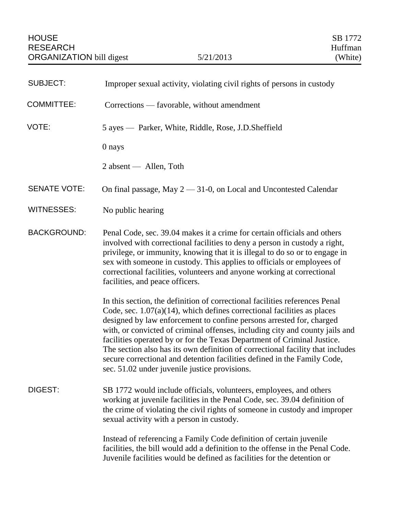| <b>SUBJECT:</b>     | Improper sexual activity, violating civil rights of persons in custody                                                                                                                                                                                                                                                                                                                                                                                                                                                                                                                                      |
|---------------------|-------------------------------------------------------------------------------------------------------------------------------------------------------------------------------------------------------------------------------------------------------------------------------------------------------------------------------------------------------------------------------------------------------------------------------------------------------------------------------------------------------------------------------------------------------------------------------------------------------------|
| <b>COMMITTEE:</b>   | Corrections — favorable, without amendment                                                                                                                                                                                                                                                                                                                                                                                                                                                                                                                                                                  |
| VOTE:               | 5 ayes — Parker, White, Riddle, Rose, J.D.Sheffield                                                                                                                                                                                                                                                                                                                                                                                                                                                                                                                                                         |
|                     | 0 nays                                                                                                                                                                                                                                                                                                                                                                                                                                                                                                                                                                                                      |
|                     | 2 absent — Allen, Toth                                                                                                                                                                                                                                                                                                                                                                                                                                                                                                                                                                                      |
| <b>SENATE VOTE:</b> | On final passage, May $2 - 31$ -0, on Local and Uncontested Calendar                                                                                                                                                                                                                                                                                                                                                                                                                                                                                                                                        |
| <b>WITNESSES:</b>   | No public hearing                                                                                                                                                                                                                                                                                                                                                                                                                                                                                                                                                                                           |
| <b>BACKGROUND:</b>  | Penal Code, sec. 39.04 makes it a crime for certain officials and others<br>involved with correctional facilities to deny a person in custody a right,<br>privilege, or immunity, knowing that it is illegal to do so or to engage in<br>sex with someone in custody. This applies to officials or employees of<br>correctional facilities, volunteers and anyone working at correctional<br>facilities, and peace officers.                                                                                                                                                                                |
|                     | In this section, the definition of correctional facilities references Penal<br>Code, sec. $1.07(a)(14)$ , which defines correctional facilities as places<br>designed by law enforcement to confine persons arrested for, charged<br>with, or convicted of criminal offenses, including city and county jails and<br>facilities operated by or for the Texas Department of Criminal Justice.<br>The section also has its own definition of correctional facility that includes<br>secure correctional and detention facilities defined in the Family Code,<br>sec. 51.02 under juvenile justice provisions. |
| DIGEST:             | SB 1772 would include officials, volunteers, employees, and others<br>working at juvenile facilities in the Penal Code, sec. 39.04 definition of<br>the crime of violating the civil rights of someone in custody and improper<br>sexual activity with a person in custody.                                                                                                                                                                                                                                                                                                                                 |
|                     | Instead of referencing a Family Code definition of certain juvenile<br>facilities, the bill would add a definition to the offense in the Penal Code.<br>Juvenile facilities would be defined as facilities for the detention or                                                                                                                                                                                                                                                                                                                                                                             |